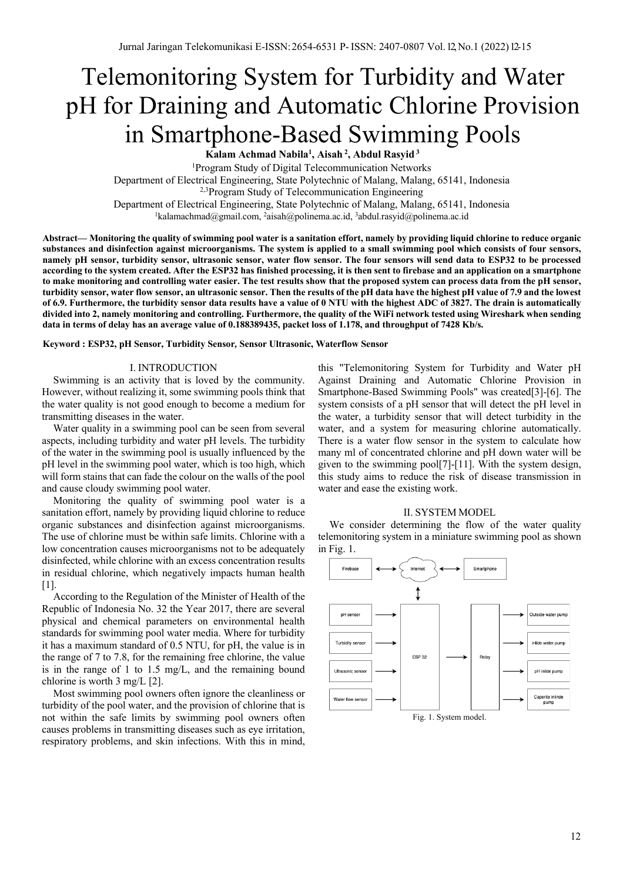# Telemonitoring System for Turbidity and Water pH for Draining and Automatic Chlorine Provision in Smartphone-Based Swimming Pools

**Kalam Achmad Nabila1 , Aisah <sup>2</sup> , Abdul Rasyid <sup>3</sup>**

<sup>1</sup>Program Study of Digital Telecommunication Networks

Department of Electrical Engineering, State Polytechnic of Malang, Malang, 65141, Indonesia

<sup>2,3</sup>Program Study of Telecommunication Engineering

Department of Electrical Engineering, State Polytechnic of Malang, Malang, 65141, Indonesia

<sup>1</sup>kalamachmad@gmail.com, <sup>2</sup>aisah@polinema.ac.id, <sup>3</sup>abdul.rasyid@polinema.ac.id

**Abstract— Monitoring the quality of swimming pool water is a sanitation effort, namely by providing liquid chlorine to reduce organic substances and disinfection against microorganisms. The system is applied to a small swimming pool which consists of four sensors, namely pH sensor, turbidity sensor, ultrasonic sensor, water flow sensor. The four sensors will send data to ESP32 to be processed according to the system created. After the ESP32 has finished processing, it is then sent to firebase and an application on a smartphone to make monitoring and controlling water easier. The test results show that the proposed system can process data from the pH sensor, turbidity sensor, water flow sensor, an ultrasonic sensor. Then the results of the pH data have the highest pH value of 7.9 and the lowest of 6.9. Furthermore, the turbidity sensor data results have a value of 0 NTU with the highest ADC of 3827. The drain is automatically divided into 2, namely monitoring and controlling. Furthermore, the quality of the WiFi network tested using Wireshark when sending data in terms of delay has an average value of 0.188389435, packet loss of 1.178, and throughput of 7428 Kb/s.**

**Keyword : ESP32, pH Sensor, Turbidity Sensor***,* **Sensor Ultrasonic, Waterflow Sensor**

## I. INTRODUCTION

Swimming is an activity that is loved by the community. However, without realizing it, some swimming pools think that the water quality is not good enough to become a medium for transmitting diseases in the water.

Water quality in a swimming pool can be seen from several aspects, including turbidity and water pH levels. The turbidity of the water in the swimming pool is usually influenced by the pH level in the swimming pool water, which is too high, which will form stains that can fade the colour on the walls of the pool and cause cloudy swimming pool water.

Monitoring the quality of swimming pool water is a sanitation effort, namely by providing liquid chlorine to reduce organic substances and disinfection against microorganisms. The use of chlorine must be within safe limits. Chlorine with a low concentration causes microorganisms not to be adequately disinfected, while chlorine with an excess concentration results in residual chlorine, which negatively impacts human health [1].

According to the Regulation of the Minister of Health of the Republic of Indonesia No. 32 the Year 2017, there are several physical and chemical parameters on environmental health standards for swimming pool water media. Where for turbidity it has a maximum standard of 0.5 NTU, for pH, the value is in the range of 7 to 7.8, for the remaining free chlorine, the value is in the range of 1 to 1.5 mg/L, and the remaining bound chlorine is worth 3 mg/L [2].

Most swimming pool owners often ignore the cleanliness or turbidity of the pool water, and the provision of chlorine that is not within the safe limits by swimming pool owners often causes problems in transmitting diseases such as eye irritation, respiratory problems, and skin infections. With this in mind,

this "Telemonitoring System for Turbidity and Water pH Against Draining and Automatic Chlorine Provision in Smartphone-Based Swimming Pools" was created[3]-[6]. The system consists of a pH sensor that will detect the pH level in the water, a turbidity sensor that will detect turbidity in the water, and a system for measuring chlorine automatically. There is a water flow sensor in the system to calculate how many ml of concentrated chlorine and pH down water will be given to the swimming pool[7]-[11]. With the system design, this study aims to reduce the risk of disease transmission in water and ease the existing work.

## II. SYSTEM MODEL

We consider determining the flow of the water quality telemonitoring system in a miniature swimming pool as shown in Fig. 1.



12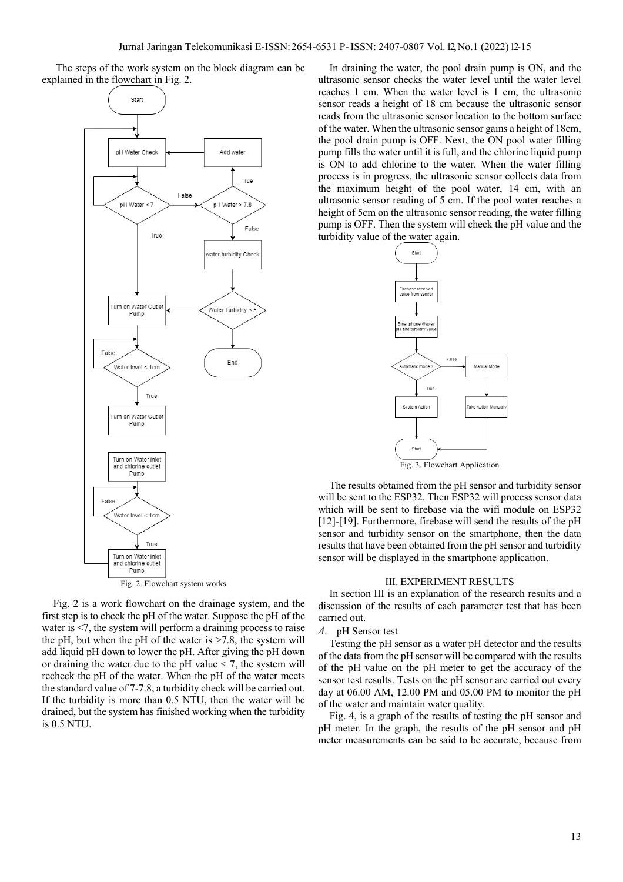The steps of the work system on the block diagram can be explained in the flowchart in Fig. 2.



Fig. 2 is a work flowchart on the drainage system, and the first step is to check the pH of the water. Suppose the pH of the water is <7, the system will perform a draining process to raise the pH, but when the pH of the water is  $\geq$ 7.8, the system will add liquid pH down to lower the pH. After giving the pH down or draining the water due to the  $pH$  value  $\leq$  7, the system will recheck the pH of the water. When the pH of the water meets the standard value of 7-7.8, a turbidity check will be carried out. If the turbidity is more than 0.5 NTU, then the water will be drained, but the system has finished working when the turbidity is 0.5 NTU.

In draining the water, the pool drain pump is ON, and the ultrasonic sensor checks the water level until the water level reaches 1 cm. When the water level is 1 cm, the ultrasonic sensor reads a height of 18 cm because the ultrasonic sensor reads from the ultrasonic sensor location to the bottom surface of the water. When the ultrasonic sensor gains a height of 18cm, the pool drain pump is OFF. Next, the ON pool water filling pump fills the water until it is full, and the chlorine liquid pump is ON to add chlorine to the water. When the water filling process is in progress, the ultrasonic sensor collects data from the maximum height of the pool water, 14 cm, with an ultrasonic sensor reading of 5 cm. If the pool water reaches a height of 5cm on the ultrasonic sensor reading, the water filling pump is OFF. Then the system will check the pH value and the turbidity value of the water again.



The results obtained from the pH sensor and turbidity sensor will be sent to the ESP32. Then ESP32 will process sensor data which will be sent to firebase via the wifi module on ESP32 [12]-[19]. Furthermore, firebase will send the results of the pH sensor and turbidity sensor on the smartphone, then the data results that have been obtained from the pH sensor and turbidity sensor will be displayed in the smartphone application.

### III. EXPERIMENT RESULTS

In section III is an explanation of the research results and a discussion of the results of each parameter test that has been carried out.

## *A.* pH Sensor test

Testing the pH sensor as a water pH detector and the results of the data from the pH sensor will be compared with the results of the pH value on the pH meter to get the accuracy of the sensor test results. Tests on the pH sensor are carried out every day at 06.00 AM, 12.00 PM and 05.00 PM to monitor the pH of the water and maintain water quality.

Fig. 4, is a graph of the results of testing the pH sensor and pH meter. In the graph, the results of the pH sensor and pH meter measurements can be said to be accurate, because from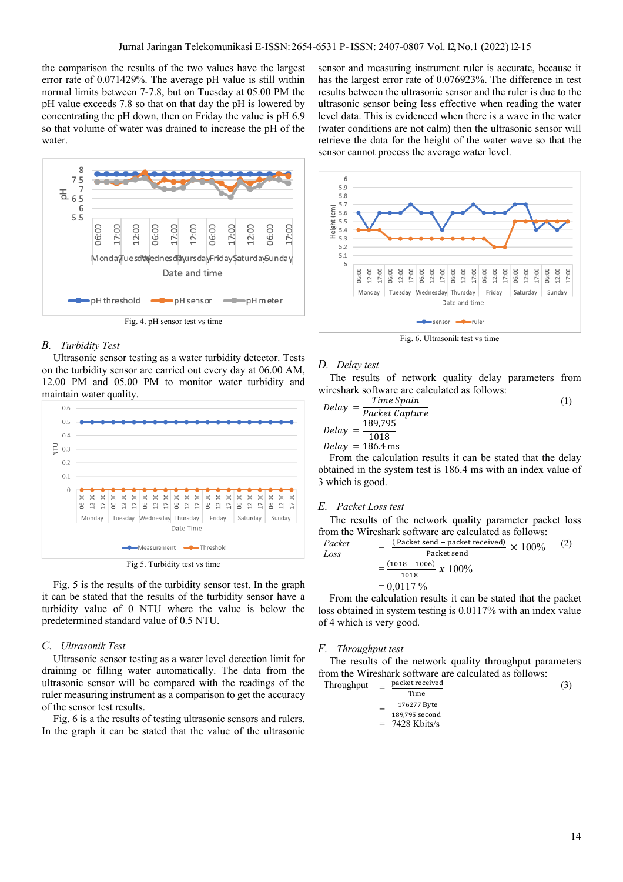the comparison the results of the two values have the largest error rate of 0.071429%. The average pH value is still within normal limits between 7-7.8, but on Tuesday at 05.00 PM the pH value exceeds 7.8 so that on that day the pH is lowered by concentrating the pH down, then on Friday the value is pH 6.9 so that volume of water was drained to increase the pH of the water.



Fig. 4. pH sensor test vs time

## *B. Turbidity Test*

Ultrasonic sensor testing as a water turbidity detector. Tests on the turbidity sensor are carried out every day at 06.00 AM, 12.00 PM and 05.00 PM to monitor water turbidity and maintain water quality.



Fig 5. Turbidity test vs time

Fig. 5 is the results of the turbidity sensor test. In the graph it can be stated that the results of the turbidity sensor have a turbidity value of 0 NTU where the value is below the predetermined standard value of 0.5 NTU.

## *C. Ultrasonik Test*

Ultrasonic sensor testing as a water level detection limit for draining or filling water automatically. The data from the ultrasonic sensor will be compared with the readings of the ruler measuring instrument as a comparison to get the accuracy of the sensor test results.

Fig. 6 is a the results of testing ultrasonic sensors and rulers. In the graph it can be stated that the value of the ultrasonic sensor and measuring instrument ruler is accurate, because it has the largest error rate of 0.076923%. The difference in test results between the ultrasonic sensor and the ruler is due to the ultrasonic sensor being less effective when reading the water level data. This is evidenced when there is a wave in the water (water conditions are not calm) then the ultrasonic sensor will retrieve the data for the height of the water wave so that the sensor cannot process the average water level.



Fig. 6. Ultrasonik test vs time

## *D. Delay test*

The results of network quality delay parameters from wireshark software are calculated as follows:

$$
Delay = \frac{Time \, Spain}{Packet \, Capture}
$$
\n
$$
Delay = \frac{189,795}{1018}
$$
\n
$$
Delay = 186.4 \, \text{ms}
$$
\n(1)

From the calculation results it can be stated that the delay obtained in the system test is 186.4 ms with an index value of 3 which is good.

#### *E. Packet Loss test*

The results of the network quality parameter packet loss from the Wireshark software are calculated as follows:

$$
Packet = \frac{(Packet send - packet received)}{Packet send} \times 100\% = \frac{(1018 - 1006)}{1018} \times 100\% = 0.0117\%
$$

From the calculation results it can be stated that the packet loss obtained in system testing is 0.0117% with an index value of 4 which is very good.

### *F. Throughput test*

The results of the network quality throughput parameters from the Wireshark software are calculated as follows:

Throughput

\n
$$
= \frac{\text{packet received}}{\text{Time}}
$$
\n
$$
= \frac{176277 \text{ Byte}}{189,795 \text{ second}}
$$
\n
$$
= 7428 \text{ Kbits/s}
$$
\n(3)